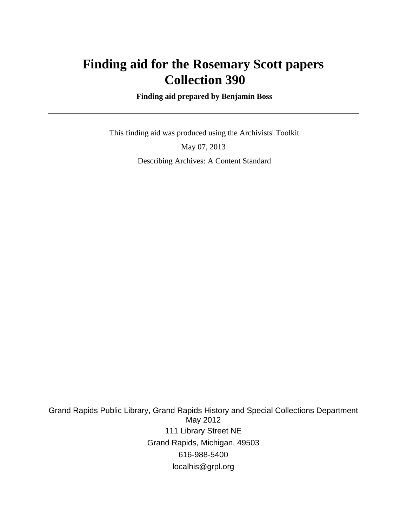## **Finding aid for the Rosemary Scott papers Collection 390**

 **Finding aid prepared by Benjamin Boss**

 This finding aid was produced using the Archivists' Toolkit May 07, 2013 Describing Archives: A Content Standard

Grand Rapids Public Library, Grand Rapids History and Special Collections Department May 2012 111 Library Street NE Grand Rapids, Michigan, 49503 616-988-5400 localhis@grpl.org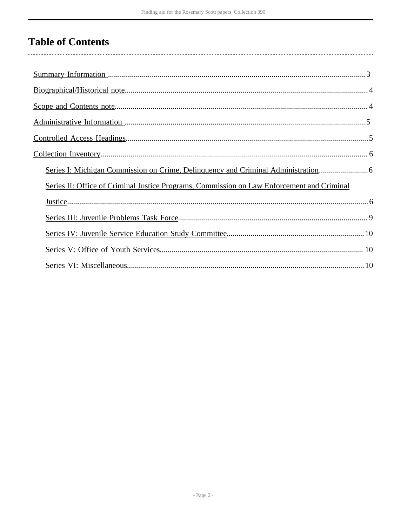# **Table of Contents**

| Series I: Michigan Commission on Crime, Delinquency and Criminal Administration            |
|--------------------------------------------------------------------------------------------|
| Series II: Office of Criminal Justice Programs, Commission on Law Enforcement and Criminal |
|                                                                                            |
|                                                                                            |
|                                                                                            |
|                                                                                            |
|                                                                                            |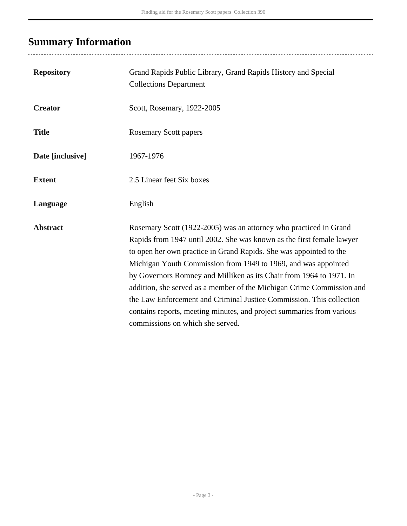# <span id="page-2-0"></span>**Summary Information**

| <b>Repository</b> | Grand Rapids Public Library, Grand Rapids History and Special<br><b>Collections Department</b>                                                                                                                                                                                                                                                                                                                                                                                                                                                                                                                          |
|-------------------|-------------------------------------------------------------------------------------------------------------------------------------------------------------------------------------------------------------------------------------------------------------------------------------------------------------------------------------------------------------------------------------------------------------------------------------------------------------------------------------------------------------------------------------------------------------------------------------------------------------------------|
| <b>Creator</b>    | Scott, Rosemary, 1922-2005                                                                                                                                                                                                                                                                                                                                                                                                                                                                                                                                                                                              |
| <b>Title</b>      | <b>Rosemary Scott papers</b>                                                                                                                                                                                                                                                                                                                                                                                                                                                                                                                                                                                            |
| Date [inclusive]  | 1967-1976                                                                                                                                                                                                                                                                                                                                                                                                                                                                                                                                                                                                               |
| <b>Extent</b>     | 2.5 Linear feet Six boxes                                                                                                                                                                                                                                                                                                                                                                                                                                                                                                                                                                                               |
| Language          | English                                                                                                                                                                                                                                                                                                                                                                                                                                                                                                                                                                                                                 |
| <b>Abstract</b>   | Rosemary Scott (1922-2005) was an attorney who practiced in Grand<br>Rapids from 1947 until 2002. She was known as the first female lawyer<br>to open her own practice in Grand Rapids. She was appointed to the<br>Michigan Youth Commission from 1949 to 1969, and was appointed<br>by Governors Romney and Milliken as its Chair from 1964 to 1971. In<br>addition, she served as a member of the Michigan Crime Commission and<br>the Law Enforcement and Criminal Justice Commission. This collection<br>contains reports, meeting minutes, and project summaries from various<br>commissions on which she served. |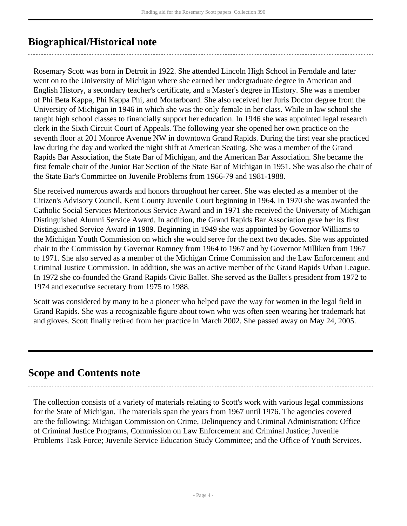### <span id="page-3-0"></span>**Biographical/Historical note**

Rosemary Scott was born in Detroit in 1922. She attended Lincoln High School in Ferndale and later went on to the University of Michigan where she earned her undergraduate degree in American and English History, a secondary teacher's certificate, and a Master's degree in History. She was a member of Phi Beta Kappa, Phi Kappa Phi, and Mortarboard. She also received her Juris Doctor degree from the University of Michigan in 1946 in which she was the only female in her class. While in law school she taught high school classes to financially support her education. In 1946 she was appointed legal research clerk in the Sixth Circuit Court of Appeals. The following year she opened her own practice on the seventh floor at 201 Monroe Avenue NW in downtown Grand Rapids. During the first year she practiced law during the day and worked the night shift at American Seating. She was a member of the Grand Rapids Bar Association, the State Bar of Michigan, and the American Bar Association. She became the first female chair of the Junior Bar Section of the State Bar of Michigan in 1951. She was also the chair of the State Bar's Committee on Juvenile Problems from 1966-79 and 1981-1988.

She received numerous awards and honors throughout her career. She was elected as a member of the Citizen's Advisory Council, Kent County Juvenile Court beginning in 1964. In 1970 she was awarded the Catholic Social Services Meritorious Service Award and in 1971 she received the University of Michigan Distinguished Alumni Service Award. In addition, the Grand Rapids Bar Association gave her its first Distinguished Service Award in 1989. Beginning in 1949 she was appointed by Governor Williams to the Michigan Youth Commission on which she would serve for the next two decades. She was appointed chair to the Commission by Governor Romney from 1964 to 1967 and by Governor Milliken from 1967 to 1971. She also served as a member of the Michigan Crime Commission and the Law Enforcement and Criminal Justice Commission. In addition, she was an active member of the Grand Rapids Urban League. In 1972 she co-founded the Grand Rapids Civic Ballet. She served as the Ballet's president from 1972 to 1974 and executive secretary from 1975 to 1988.

Scott was considered by many to be a pioneer who helped pave the way for women in the legal field in Grand Rapids. She was a recognizable figure about town who was often seen wearing her trademark hat and gloves. Scott finally retired from her practice in March 2002. She passed away on May 24, 2005.

### <span id="page-3-1"></span>**Scope and Contents note**

The collection consists of a variety of materials relating to Scott's work with various legal commissions for the State of Michigan. The materials span the years from 1967 until 1976. The agencies covered are the following: Michigan Commission on Crime, Delinquency and Criminal Administration; Office of Criminal Justice Programs, Commission on Law Enforcement and Criminal Justice; Juvenile Problems Task Force; Juvenile Service Education Study Committee; and the Office of Youth Services.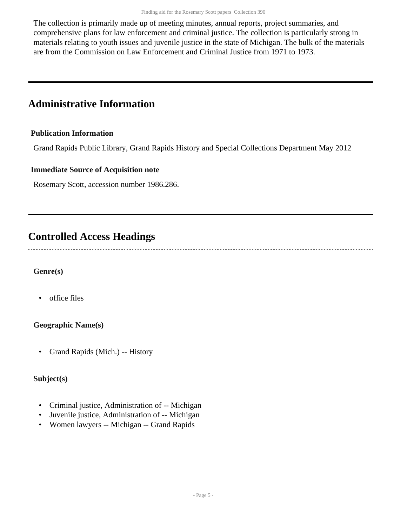The collection is primarily made up of meeting minutes, annual reports, project summaries, and comprehensive plans for law enforcement and criminal justice. The collection is particularly strong in materials relating to youth issues and juvenile justice in the state of Michigan. The bulk of the materials are from the Commission on Law Enforcement and Criminal Justice from 1971 to 1973.

### <span id="page-4-0"></span>**Administrative Information**

#### **Publication Information**

Grand Rapids Public Library, Grand Rapids History and Special Collections Department May 2012

#### **Immediate Source of Acquisition note**

Rosemary Scott, accession number 1986.286.

## <span id="page-4-1"></span>**Controlled Access Headings**

#### **Genre(s)**

• office files

#### **Geographic Name(s)**

• Grand Rapids (Mich.) -- History

#### **Subject(s)**

- Criminal justice, Administration of -- Michigan
- Juvenile justice, Administration of -- Michigan
- Women lawyers -- Michigan -- Grand Rapids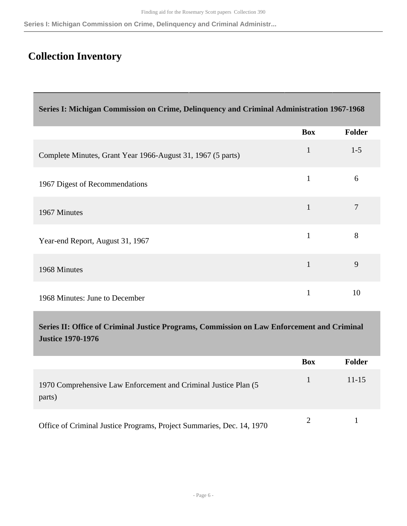**Series I: Michigan Commission on Crime, Delinquency and Criminal Administr...**

## <span id="page-5-0"></span>**Collection Inventory**

<span id="page-5-1"></span>

| Series I: Michigan Commission on Crime, Delinquency and Criminal Administration 1967-1968 |
|-------------------------------------------------------------------------------------------|
|-------------------------------------------------------------------------------------------|

|                                                             | <b>Box</b>   | <b>Folder</b> |
|-------------------------------------------------------------|--------------|---------------|
| Complete Minutes, Grant Year 1966-August 31, 1967 (5 parts) | $\mathbf{1}$ | $1 - 5$       |
| 1967 Digest of Recommendations                              | 1            | 6             |
| 1967 Minutes                                                |              | 7             |
| Year-end Report, August 31, 1967                            |              | 8             |
| 1968 Minutes                                                | 1            | 9             |
| 1968 Minutes: June to December                              |              | 10            |

<span id="page-5-2"></span>**Series II: Office of Criminal Justice Programs, Commission on Law Enforcement and Criminal Justice 1970-1976** 

|                                                                            | Box | <b>Folder</b> |
|----------------------------------------------------------------------------|-----|---------------|
| 1970 Comprehensive Law Enforcement and Criminal Justice Plan (5)<br>parts) |     | $11 - 15$     |
| Office of Criminal Justice Programs, Project Summaries, Dec. 14, 1970      |     |               |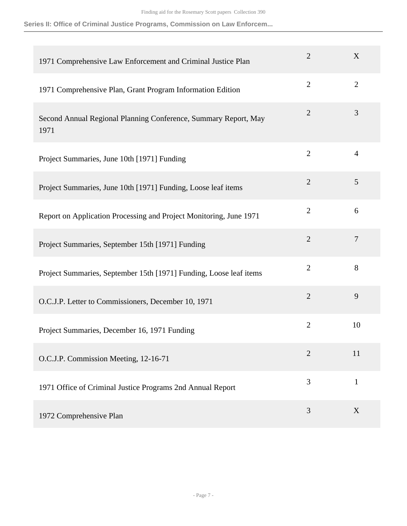**Series II: Office of Criminal Justice Programs, Commission on Law Enforcem...**

| 1971 Comprehensive Law Enforcement and Criminal Justice Plan            | $\overline{2}$ | X              |
|-------------------------------------------------------------------------|----------------|----------------|
| 1971 Comprehensive Plan, Grant Program Information Edition              | $\overline{2}$ | $\overline{2}$ |
| Second Annual Regional Planning Conference, Summary Report, May<br>1971 | $\overline{2}$ | 3              |
| Project Summaries, June 10th [1971] Funding                             | $\overline{2}$ | $\overline{4}$ |
| Project Summaries, June 10th [1971] Funding, Loose leaf items           | $\overline{2}$ | 5              |
| Report on Application Processing and Project Monitoring, June 1971      | $\overline{2}$ | 6              |
| Project Summaries, September 15th [1971] Funding                        | $\overline{2}$ | $\overline{7}$ |
| Project Summaries, September 15th [1971] Funding, Loose leaf items      | $\overline{2}$ | 8              |
| O.C.J.P. Letter to Commissioners, December 10, 1971                     | $\overline{2}$ | 9              |
| Project Summaries, December 16, 1971 Funding                            | $\overline{2}$ | 10             |
| O.C.J.P. Commission Meeting, 12-16-71                                   | $\overline{2}$ | 11             |
| 1971 Office of Criminal Justice Programs 2nd Annual Report              | 3              | $\mathbf{1}$   |
| 1972 Comprehensive Plan                                                 | 3              | X              |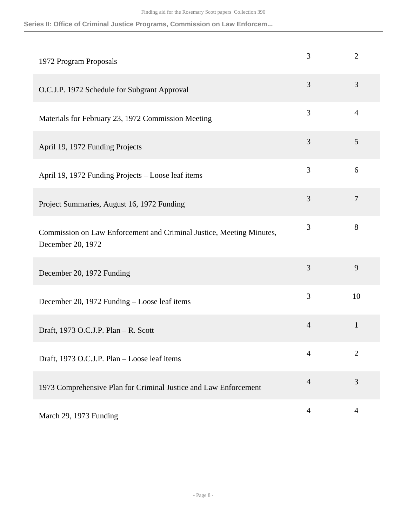**Series II: Office of Criminal Justice Programs, Commission on Law Enforcem...**

| 1972 Program Proposals                                                                    | 3              | $\overline{2}$ |
|-------------------------------------------------------------------------------------------|----------------|----------------|
| O.C.J.P. 1972 Schedule for Subgrant Approval                                              | 3              | 3              |
| Materials for February 23, 1972 Commission Meeting                                        | 3              | $\overline{4}$ |
| April 19, 1972 Funding Projects                                                           | 3              | 5              |
| April 19, 1972 Funding Projects - Loose leaf items                                        | 3              | 6              |
| Project Summaries, August 16, 1972 Funding                                                | 3              | $\overline{7}$ |
| Commission on Law Enforcement and Criminal Justice, Meeting Minutes,<br>December 20, 1972 | 3              | 8              |
| December 20, 1972 Funding                                                                 | 3              | 9              |
| December 20, 1972 Funding - Loose leaf items                                              | 3              | 10             |
| Draft, 1973 O.C.J.P. Plan - R. Scott                                                      | $\overline{4}$ | $\mathbf{1}$   |
| Draft, 1973 O.C.J.P. Plan - Loose leaf items                                              | 4              | $\overline{2}$ |
| 1973 Comprehensive Plan for Criminal Justice and Law Enforcement                          | $\overline{4}$ | 3              |
| March 29, 1973 Funding                                                                    | $\overline{4}$ | $\overline{4}$ |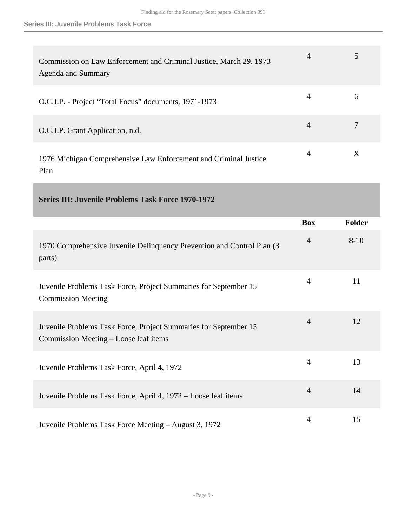| Commission on Law Enforcement and Criminal Justice, March 29, 1973<br><b>Agenda and Summary</b> | 4 |   |
|-------------------------------------------------------------------------------------------------|---|---|
| O.C.J.P. - Project "Total Focus" documents, 1971-1973                                           | 4 | 6 |
| O.C.J.P. Grant Application, n.d.                                                                | 4 |   |
| 1976 Michigan Comprehensive Law Enforcement and Criminal Justice<br>Plan                        | 4 | X |

<span id="page-8-0"></span>

| <b>Series III: Juvenile Problems Task Force 1970-1972</b>                                                 |                |               |
|-----------------------------------------------------------------------------------------------------------|----------------|---------------|
|                                                                                                           | <b>Box</b>     | <b>Folder</b> |
| 1970 Comprehensive Juvenile Delinquency Prevention and Control Plan (3)<br>parts)                         | $\overline{4}$ | $8 - 10$      |
| Juvenile Problems Task Force, Project Summaries for September 15<br><b>Commission Meeting</b>             | $\overline{4}$ | 11            |
| Juvenile Problems Task Force, Project Summaries for September 15<br>Commission Meeting – Loose leaf items | $\overline{4}$ | 12            |
| Juvenile Problems Task Force, April 4, 1972                                                               | $\overline{4}$ | 13            |
| Juvenile Problems Task Force, April 4, 1972 – Loose leaf items                                            | $\overline{4}$ | 14            |
| Juvenile Problems Task Force Meeting – August 3, 1972                                                     | $\overline{4}$ | 15            |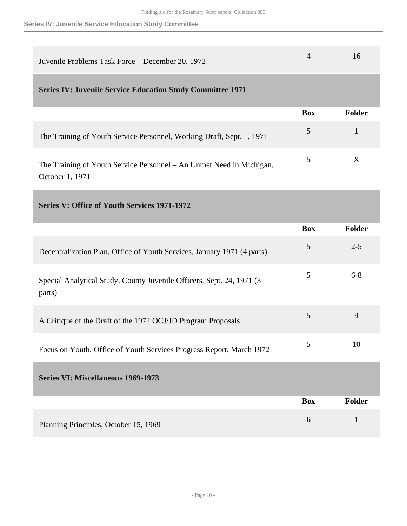#### **Series IV: Juvenile Service Education Study Committee**

<span id="page-9-0"></span>

| Juvenile Problems Task Force – December 20, 1972                                        | 4          | 16            |
|-----------------------------------------------------------------------------------------|------------|---------------|
| <b>Series IV: Juvenile Service Education Study Committee 1971</b>                       |            |               |
|                                                                                         | <b>Box</b> | <b>Folder</b> |
| The Training of Youth Service Personnel, Working Draft, Sept. 1, 1971                   | 5          |               |
| The Training of Youth Service Personnel – An Unmet Need in Michigan,<br>October 1, 1971 | 5          | Χ             |

<span id="page-9-1"></span>

|  |  |  |  |  | Series V: Office of Youth Services 1971-1972 |
|--|--|--|--|--|----------------------------------------------|
|--|--|--|--|--|----------------------------------------------|

<span id="page-9-2"></span>

|                                                                                  | <b>Box</b> | <b>Folder</b> |
|----------------------------------------------------------------------------------|------------|---------------|
| Decentralization Plan, Office of Youth Services, January 1971 (4 parts)          | 5          | $2 - 5$       |
| Special Analytical Study, County Juvenile Officers, Sept. 24, 1971 (3)<br>parts) | 5          | $6 - 8$       |
| A Critique of the Draft of the 1972 OCJ/JD Program Proposals                     | 5          | 9             |
| Focus on Youth, Office of Youth Services Progress Report, March 1972             | 5          | 10            |
| <b>Series VI: Miscellaneous 1969-1973</b>                                        |            |               |
|                                                                                  | <b>Box</b> | <b>Folder</b> |
| Planning Principles, October 15, 1969                                            | 6          | 1             |